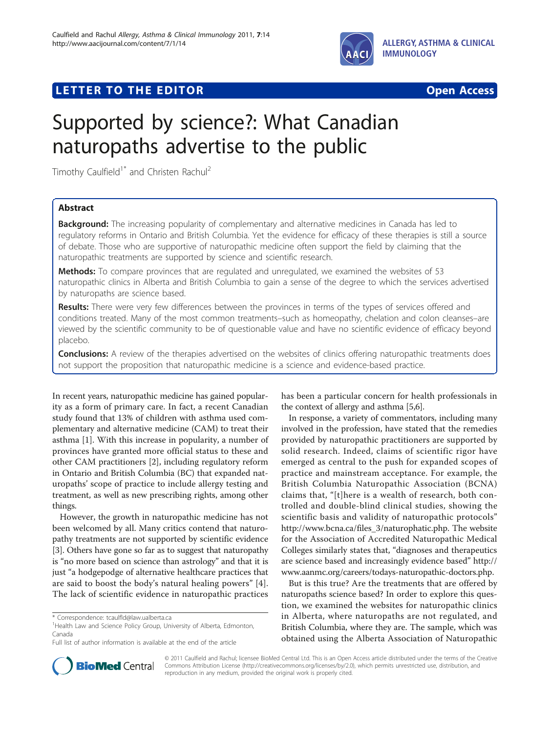

# **LETTER TO THE EDITOR CONSIDERING ACCESS**



# Supported by science?: What Canadian naturopaths advertise to the public

Timothy Caulfield<sup>1\*</sup> and Christen Rachul<sup>2</sup>

# Abstract

**Background:** The increasing popularity of complementary and alternative medicines in Canada has led to regulatory reforms in Ontario and British Columbia. Yet the evidence for efficacy of these therapies is still a source of debate. Those who are supportive of naturopathic medicine often support the field by claiming that the naturopathic treatments are supported by science and scientific research.

Methods: To compare provinces that are regulated and unregulated, we examined the websites of 53 naturopathic clinics in Alberta and British Columbia to gain a sense of the degree to which the services advertised by naturopaths are science based.

Results: There were very few differences between the provinces in terms of the types of services offered and conditions treated. Many of the most common treatments–such as homeopathy, chelation and colon cleanses–are viewed by the scientific community to be of questionable value and have no scientific evidence of efficacy beyond placebo.

**Conclusions:** A review of the therapies advertised on the websites of clinics offering naturopathic treatments does not support the proposition that naturopathic medicine is a science and evidence-based practice.

In recent years, naturopathic medicine has gained popularity as a form of primary care. In fact, a recent Canadian study found that 13% of children with asthma used complementary and alternative medicine (CAM) to treat their asthma [[1\]](#page-3-0). With this increase in popularity, a number of provinces have granted more official status to these and other CAM practitioners [\[2](#page-3-0)], including regulatory reform in Ontario and British Columbia (BC) that expanded naturopaths' scope of practice to include allergy testing and treatment, as well as new prescribing rights, among other things.

However, the growth in naturopathic medicine has not been welcomed by all. Many critics contend that naturopathy treatments are not supported by scientific evidence [[3\]](#page-3-0). Others have gone so far as to suggest that naturopathy is "no more based on science than astrology" and that it is just "a hodgepodge of alternative healthcare practices that are said to boost the body's natural healing powers" [[4](#page-3-0)]. The lack of scientific evidence in naturopathic practices

has been a particular concern for health professionals in the context of allergy and asthma [\[5,6\]](#page-3-0).

In response, a variety of commentators, including many involved in the profession, have stated that the remedies provided by naturopathic practitioners are supported by solid research. Indeed, claims of scientific rigor have emerged as central to the push for expanded scopes of practice and mainstream acceptance. For example, the British Columbia Naturopathic Association (BCNA) claims that, "[t]here is a wealth of research, both controlled and double-blind clinical studies, showing the scientific basis and validity of naturopathic protocols" [http://www.bcna.ca/files\\_3/naturophatic.php.](http://www.bcna.ca/files_3/naturophatic.php) The website for the Association of Accredited Naturopathic Medical Colleges similarly states that, "diagnoses and therapeutics are science based and increasingly evidence based" [http://](http://www.aanmc.org/careers/todays-naturopathic-doctors.php) [www.aanmc.org/careers/todays-naturopathic-doctors.php](http://www.aanmc.org/careers/todays-naturopathic-doctors.php).

But is this true? Are the treatments that are offered by naturopaths science based? In order to explore this question, we examined the websites for naturopathic clinics in Alberta, where naturopaths are not regulated, and British Columbia, where they are. The sample, which was obtained using the Alberta Association of Naturopathic



© 2011 Caulfield and Rachul; licensee BioMed Central Ltd. This is an Open Access article distributed under the terms of the Creative Commons Attribution License [\(http://creativecommons.org/licenses/by/2.0](http://creativecommons.org/licenses/by/2.0)), which permits unrestricted use, distribution, and reproduction in any medium, provided the original work is properly cited.

<sup>\*</sup> Correspondence: [tcaulfld@law.ualberta.ca](mailto:tcaulfld@law.ualberta.ca)

<sup>&</sup>lt;sup>1</sup> Health Law and Science Policy Group, University of Alberta, Edmonton, Canada

Full list of author information is available at the end of the article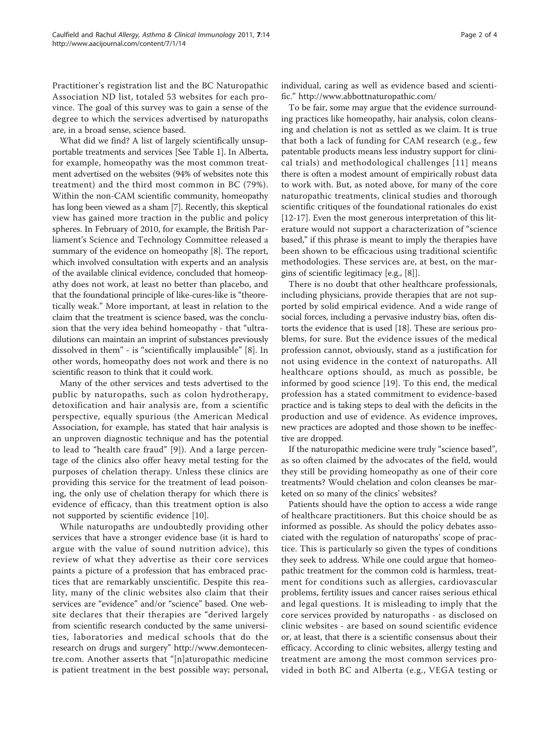Practitioner's registration list and the BC Naturopathic Association ND list, totaled 53 websites for each province. The goal of this survey was to gain a sense of the degree to which the services advertised by naturopaths are, in a broad sense, science based.

What did we find? A list of largely scientifically unsupportable treatments and services [See Table [1](#page-2-0)]. In Alberta, for example, homeopathy was the most common treatment advertised on the websites (94% of websites note this treatment) and the third most common in BC (79%). Within the non-CAM scientific community, homeopathy has long been viewed as a sham [\[7\]](#page-3-0). Recently, this skeptical view has gained more traction in the public and policy spheres. In February of 2010, for example, the British Parliament's Science and Technology Committee released a summary of the evidence on homeopathy [\[8](#page-3-0)]. The report, which involved consultation with experts and an analysis of the available clinical evidence, concluded that homeopathy does not work, at least no better than placebo, and that the foundational principle of like-cures-like is "theoretically weak." More important, at least in relation to the claim that the treatment is science based, was the conclusion that the very idea behind homeopathy - that "ultradilutions can maintain an imprint of substances previously dissolved in them" - is "scientifically implausible" [\[8](#page-3-0)]. In other words, homeopathy does not work and there is no scientific reason to think that it could work.

Many of the other services and tests advertised to the public by naturopaths, such as colon hydrotherapy, detoxification and hair analysis are, from a scientific perspective, equally spurious (the American Medical Association, for example, has stated that hair analysis is an unproven diagnostic technique and has the potential to lead to "health care fraud" [[9](#page-3-0)]). And a large percentage of the clinics also offer heavy metal testing for the purposes of chelation therapy. Unless these clinics are providing this service for the treatment of lead poisoning, the only use of chelation therapy for which there is evidence of efficacy, than this treatment option is also not supported by scientific evidence [\[10\]](#page-3-0).

While naturopaths are undoubtedly providing other services that have a stronger evidence base (it is hard to argue with the value of sound nutrition advice), this review of what they advertise as their core services paints a picture of a profession that has embraced practices that are remarkably unscientific. Despite this reality, many of the clinic websites also claim that their services are "evidence" and/or "science" based. One website declares that their therapies are "derived largely from scientific research conducted by the same universities, laboratories and medical schools that do the research on drugs and surgery" [http://www.demontecen](http://www.demontecentre.com)[tre.com.](http://www.demontecentre.com) Another asserts that "[n]aturopathic medicine is patient treatment in the best possible way; personal, individual, caring as well as evidence based and scientific." <http://www.abbottnaturopathic.com/>

To be fair, some may argue that the evidence surrounding practices like homeopathy, hair analysis, colon cleansing and chelation is not as settled as we claim. It is true that both a lack of funding for CAM research (e.g., few patentable products means less industry support for clinical trials) and methodological challenges [\[11](#page-3-0)] means there is often a modest amount of empirically robust data to work with. But, as noted above, for many of the core naturopathic treatments, clinical studies and thorough scientific critiques of the foundational rationales do exist [[12-17\]](#page-3-0). Even the most generous interpretation of this literature would not support a characterization of "science based," if this phrase is meant to imply the therapies have been shown to be efficacious using traditional scientific methodologies. These services are, at best, on the margins of scientific legitimacy [e.g., [\[8](#page-3-0)]].

There is no doubt that other healthcare professionals, including physicians, provide therapies that are not supported by solid empirical evidence. And a wide range of social forces, including a pervasive industry bias, often distorts the evidence that is used [[18\]](#page-3-0). These are serious problems, for sure. But the evidence issues of the medical profession cannot, obviously, stand as a justification for not using evidence in the context of naturopaths. All healthcare options should, as much as possible, be informed by good science [\[19](#page-3-0)]. To this end, the medical profession has a stated commitment to evidence-based practice and is taking steps to deal with the deficits in the production and use of evidence. As evidence improves, new practices are adopted and those shown to be ineffective are dropped.

If the naturopathic medicine were truly "science based", as so often claimed by the advocates of the field, would they still be providing homeopathy as one of their core treatments? Would chelation and colon cleanses be marketed on so many of the clinics' websites?

Patients should have the option to access a wide range of healthcare practitioners. But this choice should be as informed as possible. As should the policy debates associated with the regulation of naturopaths' scope of practice. This is particularly so given the types of conditions they seek to address. While one could argue that homeopathic treatment for the common cold is harmless, treatment for conditions such as allergies, cardiovascular problems, fertility issues and cancer raises serious ethical and legal questions. It is misleading to imply that the core services provided by naturopaths - as disclosed on clinic websites - are based on sound scientific evidence or, at least, that there is a scientific consensus about their efficacy. According to clinic websites, allergy testing and treatment are among the most common services provided in both BC and Alberta (e.g., VEGA testing or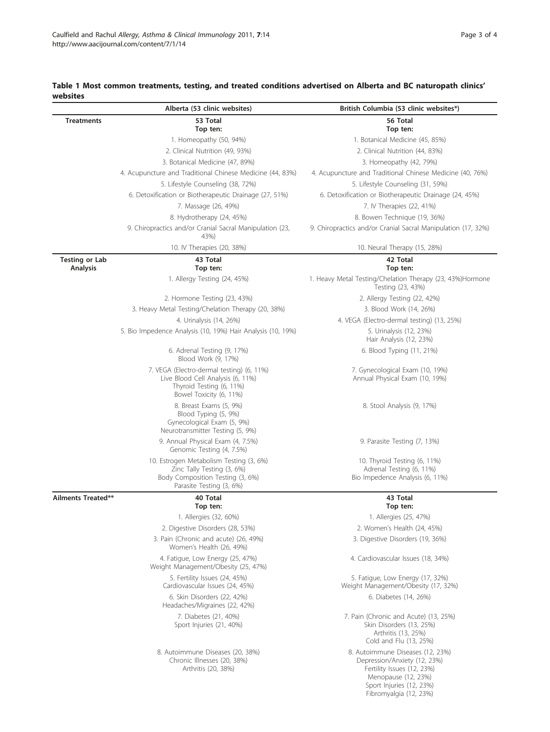## <span id="page-2-0"></span>Table 1 Most common treatments, testing, and treated conditions advertised on Alberta and BC naturopath clinics' websites

|                                          | Alberta (53 clinic websites)                                                                                                          | British Columbia (53 clinic websites*)                                                                             |
|------------------------------------------|---------------------------------------------------------------------------------------------------------------------------------------|--------------------------------------------------------------------------------------------------------------------|
| <b>Treatments</b>                        | 53 Total                                                                                                                              | 56 Total                                                                                                           |
|                                          | Top ten:                                                                                                                              | Top ten:                                                                                                           |
|                                          | 1. Homeopathy (50, 94%)                                                                                                               | 1. Botanical Medicine (45, 85%)                                                                                    |
|                                          | 2. Clinical Nutrition (49, 93%)                                                                                                       | 2. Clinical Nutrition (44, 83%)                                                                                    |
|                                          | 3. Botanical Medicine (47, 89%)                                                                                                       | 3. Homeopathy (42, 79%)                                                                                            |
|                                          | 4. Acupuncture and Traditional Chinese Medicine (44, 83%)                                                                             | 4. Acupuncture and Traditional Chinese Medicine (40, 76%)                                                          |
|                                          | 5. Lifestyle Counseling (38, 72%)                                                                                                     | 5. Lifestyle Counseling (31, 59%)                                                                                  |
|                                          | 6. Detoxification or Biotherapeutic Drainage (27, 51%)                                                                                | 6. Detoxification or Biotherapeutic Drainage (24, 45%)                                                             |
|                                          | 7. Massage (26, 49%)                                                                                                                  | 7. IV Therapies (22, 41%)                                                                                          |
|                                          | 8. Hydrotherapy (24, 45%)                                                                                                             | 8. Bowen Technique (19, 36%)                                                                                       |
|                                          | 9. Chiropractics and/or Cranial Sacral Manipulation (23,<br>43%)                                                                      | 9. Chiropractics and/or Cranial Sacral Manipulation (17, 32%)                                                      |
|                                          | 10. IV Therapies (20, 38%)                                                                                                            | 10. Neural Therapy (15, 28%)                                                                                       |
| <b>Testing or Lab</b><br><b>Analysis</b> | 43 Total<br>Top ten:                                                                                                                  | 42 Total<br>Top ten:                                                                                               |
|                                          | 1. Allergy Testing (24, 45%)                                                                                                          | 1. Heavy Metal Testing/Chelation Therapy (23, 43%)Hormone<br>Testing (23, 43%)                                     |
|                                          | 2. Hormone Testing (23, 43%)                                                                                                          | 2. Allergy Testing (22, 42%)                                                                                       |
|                                          | 3. Heavy Metal Testing/Chelation Therapy (20, 38%)                                                                                    | 3. Blood Work (14, 26%)                                                                                            |
|                                          | 4. Urinalysis (14, 26%)                                                                                                               | 4. VEGA (Electro-dermal testing) (13, 25%)                                                                         |
|                                          | 5. Bio Impedence Analysis (10, 19%) Hair Analysis (10, 19%)                                                                           | 5. Urinalysis (12, 23%)<br>Hair Analysis (12, 23%)                                                                 |
|                                          | 6. Adrenal Testing (9, 17%)<br>Blood Work (9, 17%)                                                                                    | 6. Blood Typing (11, 21%)                                                                                          |
|                                          | 7. VEGA (Electro-dermal testing) (6, 11%)<br>Live Blood Cell Analysis (6, 11%)<br>Thyroid Testing (6, 11%)<br>Bowel Toxicity (6, 11%) | 7. Gynecological Exam (10, 19%)<br>Annual Physical Exam (10, 19%)                                                  |
|                                          | 8. Breast Exams (5, 9%)<br>Blood Typing (5, 9%)<br>Gynecological Exam (5, 9%)<br>Neurotransmitter Testing (5, 9%)                     | 8. Stool Analysis (9, 17%)                                                                                         |
|                                          | 9. Annual Physical Exam (4, 7.5%)<br>Genomic Testing (4, 7.5%)                                                                        | 9. Parasite Testing (7, 13%)                                                                                       |
|                                          | 10. Estrogen Metabolism Testing (3, 6%)<br>Zinc Tally Testing (3, 6%)<br>Body Composition Testing (3, 6%)<br>Parasite Testing (3, 6%) | 10. Thyroid Testing (6, 11%)<br>Adrenal Testing (6, 11%)<br>Bio Impedence Analysis (6, 11%)                        |
| Ailments Treated**                       | 40 Total                                                                                                                              | 43 Total                                                                                                           |
|                                          | Top ten:                                                                                                                              | Top ten:                                                                                                           |
|                                          | 1. Allergies (32, 60%)                                                                                                                | 1. Allergies (25, 47%)                                                                                             |
|                                          | 2. Digestive Disorders (28, 53%)                                                                                                      | 2. Women's Health (24, 45%)                                                                                        |
|                                          | 3. Pain (Chronic and acute) (26, 49%)<br>Women's Health (26, 49%)                                                                     | 3. Digestive Disorders (19, 36%)                                                                                   |
|                                          | 4. Fatigue, Low Energy (25, 47%)<br>Weight Management/Obesity (25, 47%)                                                               | 4. Cardiovascular Issues (18, 34%)                                                                                 |
|                                          | 5. Fertility Issues (24, 45%)<br>Cardiovascular Issues (24, 45%)                                                                      | 5. Fatigue, Low Energy (17, 32%)<br>Weight Management/Obesity (17, 32%)                                            |
|                                          | 6. Skin Disorders (22, 42%)<br>Headaches/Migraines (22, 42%)                                                                          | 6. Diabetes (14, 26%)                                                                                              |
|                                          | 7. Diabetes (21, 40%)<br>Sport Injuries (21, 40%)                                                                                     | 7. Pain (Chronic and Acute) (13, 25%)<br>Skin Disorders (13, 25%)<br>Arthritis (13, 25%)<br>Cold and Flu (13, 25%) |

8. Autoimmune Diseases (20, 38%) Chronic Illnesses (20, 38%) Arthritis (20, 38%)

8. Autoimmune Diseases (12, 23%) Depression/Anxiety (12, 23%) Fertility Issues (12, 23%) Menopause (12, 23%) Sport Injuries (12, 23%) Fibromyalgia (12, 23%)